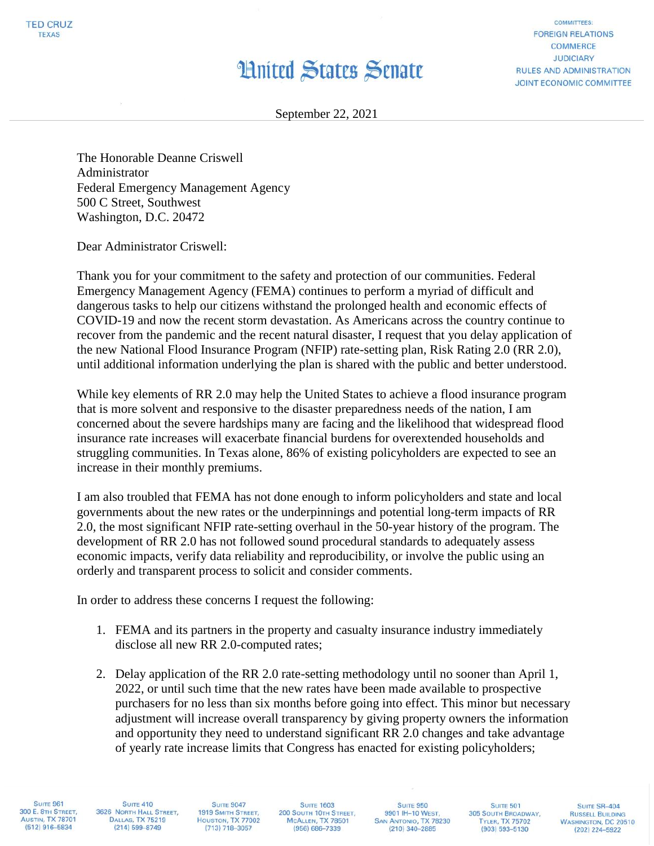## **Hnited States Senate**

**COMMITTEES: FOREIGN RELATIONS COMMERCE JUDICIARY RULES AND ADMINISTRATION JOINT ECONOMIC COMMITTEE** 

September 22, 2021

The Honorable Deanne Criswell Administrator Federal Emergency Management Agency 500 C Street, Southwest Washington, D.C. 20472

Dear Administrator Criswell:

Thank you for your commitment to the safety and protection of our communities. Federal Emergency Management Agency (FEMA) continues to perform a myriad of difficult and dangerous tasks to help our citizens withstand the prolonged health and economic effects of COVID-19 and now the recent storm devastation. As Americans across the country continue to recover from the pandemic and the recent natural disaster, I request that you delay application of the new National Flood Insurance Program (NFIP) rate-setting plan, Risk Rating 2.0 (RR 2.0), until additional information underlying the plan is shared with the public and better understood.

While key elements of RR 2.0 may help the United States to achieve a flood insurance program that is more solvent and responsive to the disaster preparedness needs of the nation, I am concerned about the severe hardships many are facing and the likelihood that widespread flood insurance rate increases will exacerbate financial burdens for overextended households and struggling communities. In Texas alone, 86% of existing policyholders are expected to see an increase in their monthly premiums.

I am also troubled that FEMA has not done enough to inform policyholders and state and local governments about the new rates or the underpinnings and potential long-term impacts of RR 2.0, the most significant NFIP rate-setting overhaul in the 50-year history of the program. The development of RR 2.0 has not followed sound procedural standards to adequately assess economic impacts, verify data reliability and reproducibility, or involve the public using an orderly and transparent process to solicit and consider comments.

In order to address these concerns I request the following:

- 1. FEMA and its partners in the property and casualty insurance industry immediately disclose all new RR 2.0-computed rates;
- 2. Delay application of the RR 2.0 rate-setting methodology until no sooner than April 1, 2022, or until such time that the new rates have been made available to prospective purchasers for no less than six months before going into effect. This minor but necessary adjustment will increase overall transparency by giving property owners the information and opportunity they need to understand significant RR 2.0 changes and take advantage of yearly rate increase limits that Congress has enacted for existing policyholders;

**SUITE 961** 300 E. 8TH STREET. **AUSTIN, TX 78701**  $(512)$  916-5834

**SUITE 410** 3626 NORTH HALL STREET, **DALLAS, TX 75219**  $(214)$  599-8749

**SUITE 9047** 1919 SMITH STREET, HOUSTON, TX 77002  $(713) 718 - 3057$ 

**SUITE 1603** 200 SOUTH 10TH STREET, MCALLEN, TX 78501  $(956) 686 - 7339$ 

**SUITE 950** 9901 IH-10 WEST, SAN ANTONIO, TX 78230  $(210)$  340-2885

**SUITE 501** 305 SOUTH BROADWAY, **TYLER, TX 75702**  $(903) 593 - 5130$ 

SUITE SR-404 **RUSSELL BUILDING WASHINGTON, DC 20510**  $(202)$  224-5922